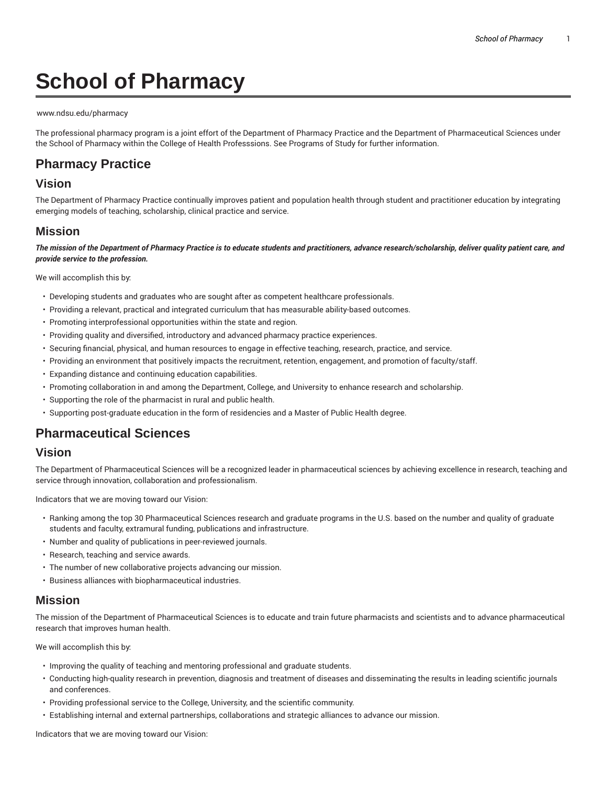# **School of Pharmacy**

#### www.ndsu.edu/pharmacy

The professional pharmacy program is a joint effort of the Department of Pharmacy Practice and the Department of Pharmaceutical Sciences under the School of Pharmacy within the College of Health Professsions. See Programs of Study for further information.

## **Pharmacy Practice**

## **Vision**

The Department of Pharmacy Practice continually improves patient and population health through student and practitioner education by integrating emerging models of teaching, scholarship, clinical practice and service.

#### **Mission**

The mission of the Department of Pharmacy Practice is to educate students and practitioners, advance research/scholarship, deliver quality patient care, and *provide service to the profession.*

We will accomplish this by:

- Developing students and graduates who are sought after as competent healthcare professionals.
- Providing a relevant, practical and integrated curriculum that has measurable ability-based outcomes.
- Promoting interprofessional opportunities within the state and region.
- Providing quality and diversified, introductory and advanced pharmacy practice experiences.
- Securing financial, physical, and human resources to engage in effective teaching, research, practice, and service.
- Providing an environment that positively impacts the recruitment, retention, engagement, and promotion of faculty/staff.
- Expanding distance and continuing education capabilities.
- Promoting collaboration in and among the Department, College, and University to enhance research and scholarship.
- Supporting the role of the pharmacist in rural and public health.
- Supporting post-graduate education in the form of residencies and a Master of Public Health degree.

# **Pharmaceutical Sciences**

### **Vision**

The Department of Pharmaceutical Sciences will be a recognized leader in pharmaceutical sciences by achieving excellence in research, teaching and service through innovation, collaboration and professionalism.

Indicators that we are moving toward our Vision:

- Ranking among the top 30 Pharmaceutical Sciences research and graduate programs in the U.S. based on the number and quality of graduate students and faculty, extramural funding, publications and infrastructure.
- Number and quality of publications in peer-reviewed journals.
- Research, teaching and service awards.
- The number of new collaborative projects advancing our mission.
- Business alliances with biopharmaceutical industries.

### **Mission**

The mission of the Department of Pharmaceutical Sciences is to educate and train future pharmacists and scientists and to advance pharmaceutical research that improves human health.

We will accomplish this by:

- Improving the quality of teaching and mentoring professional and graduate students.
- Conducting high-quality research in prevention, diagnosis and treatment of diseases and disseminating the results in leading scientific journals and conferences.
- Providing professional service to the College, University, and the scientific community.
- Establishing internal and external partnerships, collaborations and strategic alliances to advance our mission.

Indicators that we are moving toward our Vision: